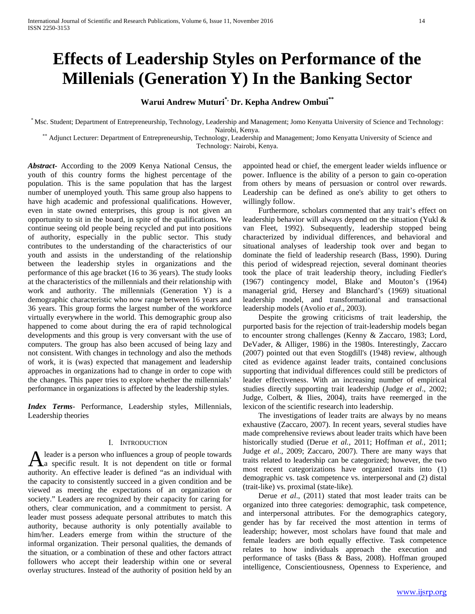# **Effects of Leadership Styles on Performance of the Millenials (Generation Y) In the Banking Sector**

# **Warui Andrew Muturi\*, Dr. Kepha Andrew Ombui\*\***

\* Msc. Student; Department of Entrepreneurship, Technology, Leadership and Management; Jomo Kenyatta University of Science and Technology: Nairobi, Kenya.<br>Adjunct Lecturer: Department of Entrepreneurship, Technology, Leadership and Management; Jomo Kenyatta University of Science and\*\*\*

Technology: Nairobi, Kenya.

*Abstract***-** According to the 2009 Kenya National Census, the youth of this country forms the highest percentage of the population. This is the same population that has the largest number of unemployed youth. This same group also happens to have high academic and professional qualifications. However, even in state owned enterprises, this group is not given an opportunity to sit in the board, in spite of the qualifications. We continue seeing old people being recycled and put into positions of authority, especially in the public sector. This study contributes to the understanding of the characteristics of our youth and assists in the understanding of the relationship between the leadership styles in organizations and the performance of this age bracket (16 to 36 years). The study looks at the characteristics of the millennials and their relationship with work and authority. The millennials (Generation Y) is a demographic characteristic who now range between 16 years and 36 years. This group forms the largest number of the workforce virtually everywhere in the world. This demographic group also happened to come about during the era of rapid technological developments and this group is very conversant with the use of computers. The group has also been accused of being lazy and not consistent. With changes in technology and also the methods of work, it is (was) expected that management and leadership approaches in organizations had to change in order to cope with the changes. This paper tries to explore whether the millennials' performance in organizations is affected by the leadership styles.

*Index Terms*- Performance, Leadership styles, Millennials, Leadership theories

# I. INTRODUCTION

leader is a person who influences a group of people towards A leader is a person who influences a group of people towards<br>
A a specific result. It is not dependent on title or formal authority. An effective leader is defined "as an individual with the capacity to consistently succeed in a given condition and be viewed as meeting the expectations of an organization or society." Leaders are recognized by their capacity for caring for others, clear communication, and a commitment to persist. A leader must possess adequate personal attributes to match this authority, because authority is only potentially available to him/her. Leaders emerge from within the structure of the informal organization. Their personal qualities, the demands of the situation, or a combination of these and other factors attract followers who accept their leadership within one or several overlay structures. Instead of the authority of position held by an

appointed head or chief, the emergent leader wields influence or power. Influence is the ability of a person to gain co-operation from others by means of persuasion or control over rewards. Leadership can be defined as one's ability to get others to willingly follow.

 Furthermore, scholars commented that any trait's effect on leadership behavior will always depend on the situation (Yukl & van Fleet, 1992). Subsequently, leadership stopped being characterized by individual differences, and behavioral and situational analyses of leadership took over and began to dominate the field of leadership research (Bass, 1990). During this period of widespread rejection, several dominant theories took the place of trait leadership theory, including Fiedler's (1967) contingency model, Blake and Mouton's (1964) managerial grid, Hersey and Blanchard's (1969) situational leadership model, and transformational and transactional leadership models (Avolio *et al*., 2003).

 Despite the growing criticisms of trait leadership, the purported basis for the rejection of trait-leadership models began to encounter strong challenges (Kenny & Zaccaro, 1983; Lord, DeVader, & Alliger, 1986) in the 1980s. Interestingly, Zaccaro (2007) pointed out that even Stogdill's (1948) review, although cited as evidence against leader traits, contained conclusions supporting that individual differences could still be predictors of leader effectiveness. With an increasing number of empirical studies directly supporting trait leadership (Judge *et al*., 2002; Judge, Colbert, & Ilies, 2004), traits have reemerged in the lexicon of the scientific research into leadership.

 The investigations of leader traits are always by no means exhaustive (Zaccaro, 2007). In recent years, several studies have made comprehensive reviews about leader traits which have been historically studied (Derue *et al.,* 2011; Hoffman *et al.,* 2011; Judge *et al*., 2009; Zaccaro, 2007). There are many ways that traits related to leadership can be categorized; however, the two most recent categorizations have organized traits into (1) demographic vs. task competence vs. interpersonal and (2) distal (trait-like) vs. proximal (state-like).

 Derue *et al*., (2011) stated that most leader traits can be organized into three categories: demographic, task competence, and interpersonal attributes. For the demographics category, gender has by far received the most attention in terms of leadership; however, most scholars have found that male and female leaders are both equally effective. Task competence relates to how individuals approach the execution and performance of tasks (Bass & Bass, 2008). Hoffman grouped intelligence, Conscientiousness, Openness to Experience, and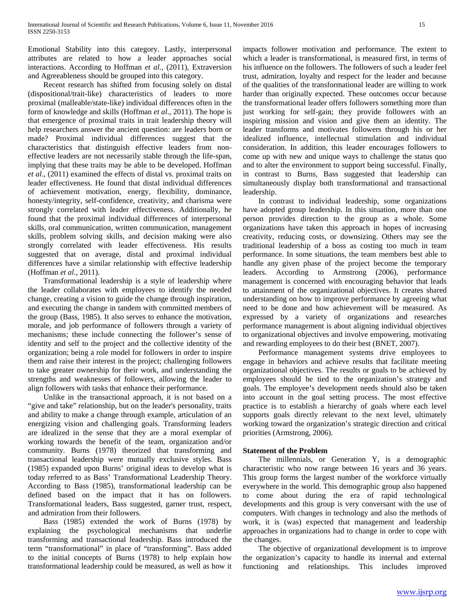Emotional Stability into this category. Lastly, interpersonal attributes are related to how a leader approaches social interactions. According to Hoffman *et al.,* (2011), Extraversion and Agreeableness should be grouped into this category.

 Recent research has shifted from focusing solely on distal (dispositional/trait-like) characteristics of leaders to more proximal (malleable/state-like) individual differences often in the form of knowledge and skills (Hoffman *et al*., 2011). The hope is that emergence of proximal traits in trait leadership theory will help researchers answer the ancient question: are leaders born or made? Proximal individual differences suggest that the characteristics that distinguish effective leaders from noneffective leaders are not necessarily stable through the life-span, implying that these traits may be able to be developed. Hoffman *et al*., (2011) examined the effects of distal vs. proximal traits on leader effectiveness. He found that distal individual differences of achievement motivation, energy, flexibility, dominance, honesty/integrity, self-confidence, creativity, and charisma were strongly correlated with leader effectiveness. Additionally, he found that the proximal individual differences of interpersonal skills, oral communication, written communication, management skills, problem solving skills, and decision making were also strongly correlated with leader effectiveness. His results suggested that on average, distal and proximal individual differences have a similar relationship with effective leadership (Hoffman *et al*., 2011).

 Transformational leadership is a style of leadership where the leader collaborates with employees to identify the needed change, creating a vision to guide the change through inspiration, and executing the change in tandem with committed members of the group (Bass, 1985). It also serves to enhance the motivation, morale, and job performance of followers through a variety of mechanisms; these include connecting the follower's sense of identity and self to the project and the collective identity of the organization; being a role model for followers in order to inspire them and raise their interest in the project; challenging followers to take greater ownership for their work, and understanding the strengths and weaknesses of followers, allowing the leader to align followers with tasks that enhance their performance.

 Unlike in the transactional approach, it is not based on a "give and take" relationship, but on the leader's personality, traits and ability to make a change through example, articulation of an energizing vision and challenging goals. Transforming leaders are idealized in the sense that they are a moral exemplar of working towards the benefit of the team, organization and/or community. Burns (1978) theorized that transforming and transactional leadership were mutually exclusive styles. Bass (1985) expanded upon Burns' original ideas to develop what is today referred to as Bass' Transformational Leadership Theory. According to Bass (1985), transformational leadership can be defined based on the impact that it has on followers. Transformational leaders, Bass suggested, garner trust, respect, and admiration from their followers.

 Bass (1985) extended the work of Burns (1978) by explaining the psychological mechanisms that underlie transforming and transactional leadership. Bass introduced the term "transformational" in place of "transforming". Bass added to the initial concepts of Burns (1978) to help explain how transformational leadership could be measured, as well as how it impacts follower motivation and performance. The extent to which a leader is transformational, is measured first, in terms of his influence on the followers. The followers of such a leader feel trust, admiration, loyalty and respect for the leader and because of the qualities of the transformational leader are willing to work harder than originally expected. These outcomes occur because the transformational leader offers followers something more than just working for self-gain; they provide followers with an inspiring mission and vision and give them an identity. The leader transforms and motivates followers through his or her idealized influence, intellectual stimulation and individual consideration. In addition, this leader encourages followers to come up with new and unique ways to challenge the status quo and to alter the environment to support being successful. Finally, in contrast to Burns, Bass suggested that leadership can simultaneously display both transformational and transactional leadership.

 In contrast to individual leadership, some organizations have adopted group leadership. In this situation, more than one person provides direction to the group as a whole. Some organizations have taken this approach in hopes of increasing creativity, reducing costs, or downsizing. Others may see the traditional leadership of a boss as costing too much in team performance. In some situations, the team members best able to handle any given phase of the project become the temporary leaders. According to Armstrong (2006), performance management is concerned with encouraging behavior that leads to attainment of the organizational objectives. It creates shared understanding on how to improve performance by agreeing what need to be done and how achievement will be measured. As expressed by a variety of organizations and researches performance management is about aligning individual objectives to organizational objectives and involve empowering, motivating and rewarding employees to do their best (BNET, 2007).

 Performance management systems drive employees to engage in behaviors and achieve results that facilitate meeting organizational objectives. The results or goals to be achieved by employees should be tied to the organization's strategy and goals. The employee's development needs should also be taken into account in the goal setting process. The most effective practice is to establish a hierarchy of goals where each level supports goals directly relevant to the next level, ultimately working toward the organization's strategic direction and critical priorities (Armstrong, 2006).

# **Statement of the Problem**

 The millennials, or Generation Y, is a demographic characteristic who now range between 16 years and 36 years. This group forms the largest number of the workforce virtually everywhere in the world. This demographic group also happened to come about during the era of rapid technological developments and this group is very conversant with the use of computers. With changes in technology and also the methods of work, it is (was) expected that management and leadership approaches in organizations had to change in order to cope with the changes.

 The objective of organizational development is to improve the organization's capacity to handle its internal and external functioning and relationships. This includes improved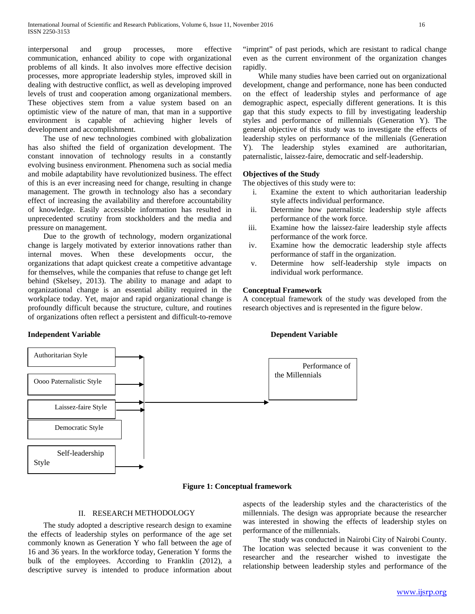interpersonal and group processes, more effective communication, enhanced ability to cope with organizational problems of all kinds. It also involves more effective decision processes, more appropriate leadership styles, improved skill in dealing with destructive conflict, as well as developing improved levels of trust and cooperation among organizational members. These objectives stem from a value system based on an optimistic view of the nature of man, that man in a supportive environment is capable of achieving higher levels of development and accomplishment.

 The use of new technologies combined with globalization has also shifted the field of organization development. The constant innovation of technology results in a constantly evolving business environment. Phenomena such as social media and mobile adaptability have revolutionized business. The effect of this is an ever increasing need for change, resulting in change management. The growth in technology also has a secondary effect of increasing the availability and therefore accountability of knowledge. Easily accessible information has resulted in unprecedented scrutiny from stockholders and the media and pressure on management.

 Due to the growth of technology, modern organizational change is largely motivated by exterior innovations rather than internal moves. When these developments occur, the organizations that adapt quickest create a competitive advantage for themselves, while the companies that refuse to change get left behind (Skelsey, 2013). The ability to manage and adapt to organizational change is an essential ability required in the workplace today. Yet, major and rapid organizational change is profoundly difficult because the structure, culture, and routines of organizations often reflect a persistent and difficult-to-remove

**Independent Variable Dependent Variable**

"imprint" of past periods, which are resistant to radical change even as the current environment of the organization changes rapidly.

 While many studies have been carried out on organizational development, change and performance, none has been conducted on the effect of leadership styles and performance of age demographic aspect, especially different generations. It is this gap that this study expects to fill by investigating leadership styles and performance of millennials (Generation Y). The general objective of this study was to investigate the effects of leadership styles on performance of the millenials (Generation Y). The leadership styles examined are authoritarian, paternalistic, laissez-faire, democratic and self-leadership.

# **Objectives of the Study**

The objectives of this study were to:

- i. Examine the extent to which authoritarian leadership style affects individual performance.
- ii. Determine how paternalistic leadership style affects performance of the work force.
- iii. Examine how the laissez-faire leadership style affects performance of the work force.
- iv. Examine how the democratic leadership style affects performance of staff in the organization.
- v. Determine how self-leadership style impacts on individual work performance.

# **Conceptual Framework**

A conceptual framework of the study was developed from the research objectives and is represented in the figure below.



## **Figure 1: Conceptual framework**

## II. RESEARCH METHODOLOGY

 The study adopted a descriptive research design to examine the effects of leadership styles on performance of the age set commonly known as Generation Y who fall between the age of 16 and 36 years. In the workforce today, Generation Y forms the bulk of the employees. According to Franklin (2012), a descriptive survey is intended to produce information about aspects of the leadership styles and the characteristics of the millennials. The design was appropriate because the researcher was interested in showing the effects of leadership styles on performance of the millennials.

 The study was conducted in Nairobi City of Nairobi County. The location was selected because it was convenient to the researcher and the researcher wished to investigate the relationship between leadership styles and performance of the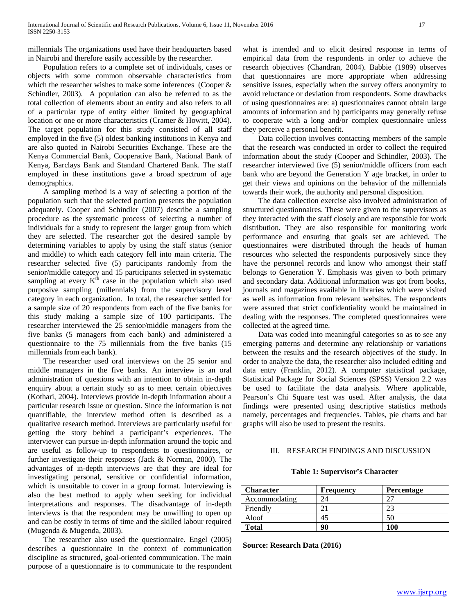millennials The organizations used have their headquarters based in Nairobi and therefore easily accessible by the researcher.

 Population refers to a complete set of individuals, cases or objects with some common observable characteristics from which the researcher wishes to make some inferences (Cooper & Schindler, 2003). A population can also be referred to as the total collection of elements about an entity and also refers to all of a particular type of entity either limited by geographical location or one or more characteristics (Cramer & Howitt, 2004). The target population for this study consisted of all staff employed in the five (5) oldest banking institutions in Kenya and are also quoted in Nairobi Securities Exchange. These are the Kenya Commercial Bank, Cooperative Bank, National Bank of Kenya, Barclays Bank and Standard Chartered Bank. The staff employed in these institutions gave a broad spectrum of age demographics.

 A sampling method is a way of selecting a portion of the population such that the selected portion presents the population adequately. Cooper and Schindler (2007) describe a sampling procedure as the systematic process of selecting a number of individuals for a study to represent the larger group from which they are selected. The researcher got the desired sample by determining variables to apply by using the staff status (senior and middle) to which each category fell into main criteria. The researcher selected five (5) participants randomly from the senior/middle category and 15 participants selected in systematic sampling at every  $K<sup>th</sup>$  case in the population which also used purposive sampling (millennials) from the supervisory level category in each organization. In total, the researcher settled for a sample size of 20 respondents from each of the five banks for this study making a sample size of 100 participants. The researcher interviewed the 25 senior/middle managers from the five banks (5 managers from each bank) and administered a questionnaire to the 75 millennials from the five banks (15 millennials from each bank).

 The researcher used oral interviews on the 25 senior and middle managers in the five banks. An interview is an oral administration of questions with an intention to obtain in-depth enquiry about a certain study so as to meet certain objectives (Kothari, 2004). Interviews provide in-depth information about a particular research issue or question. Since the information is not quantifiable, the interview method often is described as a qualitative research method. Interviews are particularly useful for getting the story behind a participant's experiences. The interviewer can pursue in-depth information around the topic and are useful as follow-up to respondents to questionnaires, or further investigate their responses (Jack & Norman, 2000). The advantages of in-depth interviews are that they are ideal for investigating personal, sensitive or confidential information, which is unsuitable to cover in a group format. Interviewing is also the best method to apply when seeking for individual interpretations and responses. The disadvantage of in-depth interviews is that the respondent may be unwilling to open up and can be costly in terms of time and the skilled labour required (Mugenda & Mugenda, 2003).

 The researcher also used the questionnaire. Engel (2005) describes a questionnaire in the context of communication discipline as structured, goal-oriented communication. The main purpose of a questionnaire is to communicate to the respondent

what is intended and to elicit desired response in terms of empirical data from the respondents in order to achieve the research objectives (Chandran, 2004). Babbie (1989) observes that questionnaires are more appropriate when addressing sensitive issues, especially when the survey offers anonymity to avoid reluctance or deviation from respondents. Some drawbacks of using questionnaires are: a) questionnaires cannot obtain large amounts of information and b) participants may generally refuse to cooperate with a long and/or complex questionnaire unless they perceive a personal benefit.

 Data collection involves contacting members of the sample that the research was conducted in order to collect the required information about the study (Cooper and Schindler, 2003). The researcher interviewed five (5) senior/middle officers from each bank who are beyond the Generation Y age bracket, in order to get their views and opinions on the behavior of the millennials towards their work, the authority and personal disposition.

 The data collection exercise also involved administration of structured questionnaires. These were given to the supervisors as they interacted with the staff closely and are responsible for work distribution. They are also responsible for monitoring work performance and ensuring that goals set are achieved. The questionnaires were distributed through the heads of human resources who selected the respondents purposively since they have the personnel records and know who amongst their staff belongs to Generation Y. Emphasis was given to both primary and secondary data. Additional information was got from books, journals and magazines available in libraries which were visited as well as information from relevant websites. The respondents were assured that strict confidentiality would be maintained in dealing with the responses. The completed questionnaires were collected at the agreed time.

 Data was coded into meaningful categories so as to see any emerging patterns and determine any relationship or variations between the results and the research objectives of the study. In order to analyze the data, the researcher also included editing and data entry (Franklin, 2012). A computer statistical package, Statistical Package for Social Sciences (SPSS) Version 2.2 was be used to facilitate the data analysis. Where applicable, Pearson's Chi Square test was used. After analysis, the data findings were presented using descriptive statistics methods namely, percentages and frequencies. Tables, pie charts and bar graphs will also be used to present the results.

# III. RESEARCH FINDINGS AND DISCUSSION

# **Table 1: Supervisor's Character**

| <b>Character</b> | <b>Frequency</b> | <b>Percentage</b> |
|------------------|------------------|-------------------|
| Accommodating    |                  |                   |
| Friendly         |                  |                   |
| Aloof            | 45               | 50                |
| <b>Total</b>     | 90               | 100               |

**Source: Research Data (2016)**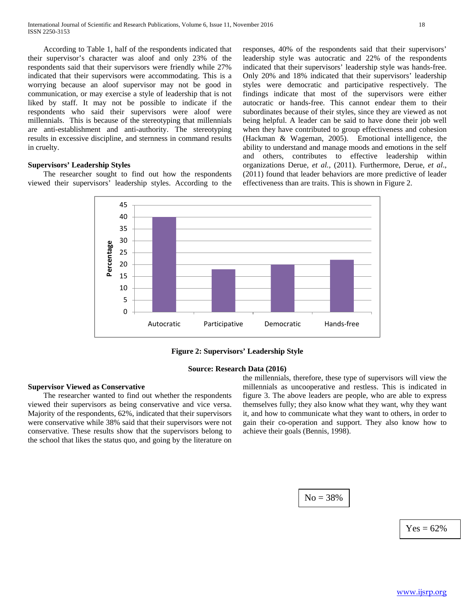According to Table 1, half of the respondents indicated that their supervisor's character was aloof and only 23% of the respondents said that their supervisors were friendly while 27% indicated that their supervisors were accommodating. This is a worrying because an aloof supervisor may not be good in communication, or may exercise a style of leadership that is not liked by staff. It may not be possible to indicate if the respondents who said their supervisors were aloof were millennials. This is because of the stereotyping that millennials are anti-establishment and anti-authority. The stereotyping results in excessive discipline, and sternness in command results in cruelty.

### **Supervisors' Leadership Styles**

 The researcher sought to find out how the respondents viewed their supervisors' leadership styles. According to the responses, 40% of the respondents said that their supervisors' leadership style was autocratic and 22% of the respondents indicated that their supervisors' leadership style was hands-free. Only 20% and 18% indicated that their supervisors' leadership styles were democratic and participative respectively. The findings indicate that most of the supervisors were either autocratic or hands-free. This cannot endear them to their subordinates because of their styles, since they are viewed as not being helpful. A leader can be said to have done their job well when they have contributed to group effectiveness and cohesion (Hackman & Wageman, 2005). Emotional intelligence, the ability to understand and manage moods and emotions in the self and others, contributes to effective leadership within organizations Derue, *et al.,* (2011). Furthermore, Derue, *et al*., (2011) found that leader behaviors are more predictive of leader effectiveness than are traits. This is shown in Figure 2.



**Figure 2: Supervisors' Leadership Style**

#### **Source: Research Data (2016)**

### **Supervisor Viewed as Conservative**

 The researcher wanted to find out whether the respondents viewed their supervisors as being conservative and vice versa. Majority of the respondents, 62%, indicated that their supervisors were conservative while 38% said that their supervisors were not conservative. These results show that the supervisors belong to the school that likes the status quo, and going by the literature on

the millennials, therefore, these type of supervisors will view the millennials as uncooperative and restless. This is indicated in figure 3. The above leaders are people, who are able to express themselves fully; they also know what they want, why they want it, and how to communicate what they want to others, in order to gain their co-operation and support. They also know how to achieve their goals (Bennis, 1998).

 $No = 38%$ 

 $Yes = 62%$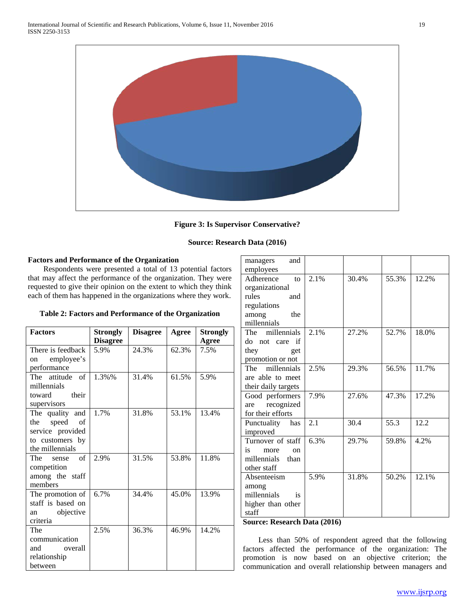

# **Figure 3: Is Supervisor Conservative?**

# **Source: Research Data (2016)**

# **Factors and Performance of the Organization**

 Respondents were presented a total of 13 potential factors that may affect the performance of the organization. They were requested to give their opinion on the extent to which they think each of them has happened in the organizations where they work.

**Table 2: Factors and Performance of the Organization**

| <b>Factors</b>     | <b>Strongly</b> | <b>Disagree</b> | Agree | <b>Strongly</b> |
|--------------------|-----------------|-----------------|-------|-----------------|
|                    | <b>Disagree</b> |                 |       | Agree           |
| There is feedback  | 5.9%            | 24.3%           | 62.3% | 7.5%            |
| employee's<br>on   |                 |                 |       |                 |
| performance        |                 |                 |       |                 |
| The attitude of    | 1.3%%           | 31.4%           | 61.5% | 5.9%            |
| millennials        |                 |                 |       |                 |
| toward their       |                 |                 |       |                 |
| supervisors        |                 |                 |       |                 |
| The quality and    | 1.7%            | 31.8%           | 53.1% | 13.4%           |
| the speed<br>of    |                 |                 |       |                 |
| service provided   |                 |                 |       |                 |
| to customers by    |                 |                 |       |                 |
| the millennials    |                 |                 |       |                 |
| of<br>The<br>sense | 2.9%            | 31.5%           | 53.8% | 11.8%           |
| competition        |                 |                 |       |                 |
| among the staff    |                 |                 |       |                 |
| members            |                 |                 |       |                 |
| The promotion of   | 6.7%            | 34.4%           | 45.0% | 13.9%           |
| staff is based on  |                 |                 |       |                 |
| objective<br>an    |                 |                 |       |                 |
| criteria           |                 |                 |       |                 |
| The                | 2.5%            | 36.3%           | 46.9% | 14.2%           |
| communication      |                 |                 |       |                 |
| and overall        |                 |                 |       |                 |
| relationship       |                 |                 |       |                 |
| between            |                 |                 |       |                 |

| and<br>managers              |      |       |       |       |
|------------------------------|------|-------|-------|-------|
| employees                    |      |       |       |       |
| Adherence<br>$\mathbf{t}$    | 2.1% | 30.4% | 55.3% | 12.2% |
| organizational               |      |       |       |       |
| rules<br>and                 |      |       |       |       |
| regulations                  |      |       |       |       |
| the<br>among                 |      |       |       |       |
| millennials                  |      |       |       |       |
| The millennials              | 2.1% | 27.2% | 52.7% | 18.0% |
| do not care<br>if            |      |       |       |       |
| they<br>get                  |      |       |       |       |
| promotion or not             |      |       |       |       |
| The millennials              | 2.5% | 29.3% | 56.5% | 11.7% |
| are able to meet             |      |       |       |       |
| their daily targets          |      |       |       |       |
| Good performers              | 7.9% | 27.6% | 47.3% | 17.2% |
| recognized<br>are            |      |       |       |       |
| for their efforts            |      |       |       |       |
| Punctuality has              | 2.1  | 30.4  | 55.3  | 12.2  |
| improved                     |      |       |       |       |
| Turnover of staff            | 6.3% | 29.7% | 59.8% | 4.2%  |
| is.<br>more<br><sub>on</sub> |      |       |       |       |
| millennials<br>than          |      |       |       |       |
| other staff                  |      |       |       |       |
| Absenteeism                  | 5.9% | 31.8% | 50.2% | 12.1% |
| among                        |      |       |       |       |
| millennials<br><i>is</i>     |      |       |       |       |
| higher than other            |      |       |       |       |
| staff                        |      |       |       |       |
| $\mathbf{r}$                 |      |       |       |       |

### **Source: Research Data (2016)**

 Less than 50% of respondent agreed that the following factors affected the performance of the organization: The promotion is now based on an objective criterion; the communication and overall relationship between managers and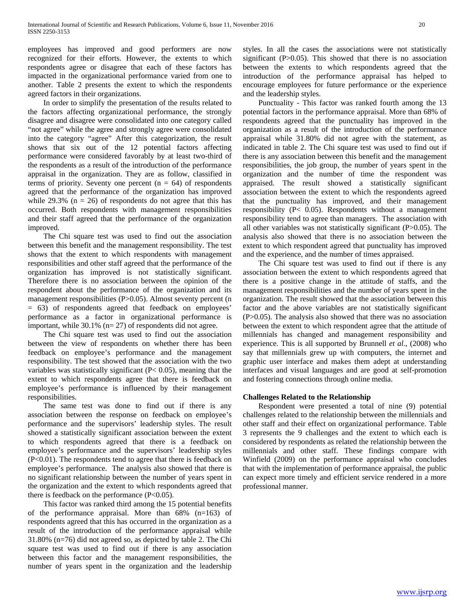employees has improved and good performers are now recognized for their efforts. However, the extents to which respondents agree or disagree that each of these factors has impacted in the organizational performance varied from one to another. Table 2 presents the extent to which the respondents agreed factors in their organizations.

 In order to simplify the presentation of the results related to the factors affecting organizational performance, the strongly disagree and disagree were consolidated into one category called "not agree" while the agree and strongly agree were consolidated into the category "agree" After this categorization, the result shows that six out of the 12 potential factors affecting performance were considered favorably by at least two-third of the respondents as a result of the introduction of the performance appraisal in the organization. They are as follow, classified in terms of priority. Seventy one percent  $(n = 64)$  of respondents agreed that the performance of the organization has improved while  $29.3\%$  (n = 26) of respondents do not agree that this has occurred. Both respondents with management responsibilities and their staff agreed that the performance of the organization improved.

 The Chi square test was used to find out the association between this benefit and the management responsibility. The test shows that the extent to which respondents with management responsibilities and other staff agreed that the performance of the organization has improved is not statistically significant. Therefore there is no association between the opinion of the respondent about the performance of the organization and its management responsibilities (P>0.05). Almost seventy percent (n = 63) of respondents agreed that feedback on employees' performance as a factor in organizational performance is important, while  $30.1\%$  (n= 27) of respondents did not agree.

 The Chi square test was used to find out the association between the view of respondents on whether there has been feedback on employee's performance and the management responsibility. The test showed that the association with the two variables was statistically significant  $(P< 0.05)$ , meaning that the extent to which respondents agree that there is feedback on employee's performance is influenced by their management responsibilities.

 The same test was done to find out if there is any association between the response on feedback on employee's performance and the supervisors' leadership styles. The result showed a statistically significant association between the extent to which respondents agreed that there is a feedback on employee's performance and the supervisors' leadership styles (P<0.01). The respondents tend to agree that there is feedback on employee's performance. The analysis also showed that there is no significant relationship between the number of years spent in the organization and the extent to which respondents agreed that there is feedback on the performance  $(P<0.05)$ .

 This factor was ranked third among the 15 potential benefits of the performance appraisal. More than 68% (n=163) of respondents agreed that this has occurred in the organization as a result of the introduction of the performance appraisal while 31.80% (n=76) did not agreed so, as depicted by table 2. The Chi square test was used to find out if there is any association between this factor and the management responsibilities, the number of years spent in the organization and the leadership styles. In all the cases the associations were not statistically significant (P>0.05). This showed that there is no association between the extents to which respondents agreed that the introduction of the performance appraisal has helped to encourage employees for future performance or the experience and the leadership styles.

 Punctuality - This factor was ranked fourth among the 13 potential factors in the performance appraisal. More than 68% of respondents agreed that the punctuality has improved in the organization as a result of the introduction of the performance appraisal while 31.80% did not agree with the statement, as indicated in table 2. The Chi square test was used to find out if there is any association between this benefit and the management responsibilities, the job group, the number of years spent in the organization and the number of time the respondent was appraised. The result showed a statistically significant association between the extent to which the respondents agreed that the punctuality has improved, and their management responsibility (P< 0.05). Respondents without a management responsibility tend to agree than managers. The association with all other variables was not statistically significant (P>0.05). The analysis also showed that there is no association between the extent to which respondent agreed that punctuality has improved and the experience, and the number of times appraised.

 The Chi square test was used to find out if there is any association between the extent to which respondents agreed that there is a positive change in the attitude of staffs, and the management responsibilities and the number of years spent in the organization. The result showed that the association between this factor and the above variables are not statistically significant (P>0.05). The analysis also showed that there was no association between the extent to which respondent agree that the attitude of millennials has changed and management responsibility and experience. This is all supported by Brunnell *et al*., (2008) who say that millennials grew up with computers, the internet and graphic user interface and makes them adept at understanding interfaces and visual languages and are good at self-promotion and fostering connections through online media.

# **Challenges Related to the Relationship**

 Respondent were presented a total of nine (9) potential challenges related to the relationship between the millennials and other staff and their effect on organizational performance. Table 3 represents the 9 challenges and the extent to which each is considered by respondents as related the relationship between the millennials and other staff. These findings compare with Winfield (2009) on the performance appraisal who concludes that with the implementation of performance appraisal, the public can expect more timely and efficient service rendered in a more professional manner.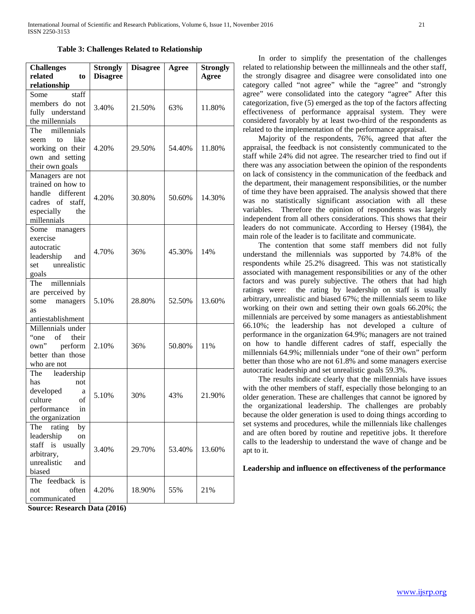**Table 3: Challenges Related to Relationship**

| <b>Challenges</b>    | <b>Strongly</b> | <b>Disagree</b> | Agree  | <b>Strongly</b> |
|----------------------|-----------------|-----------------|--------|-----------------|
| related<br>to        | <b>Disagree</b> |                 |        | Agree           |
| relationship         |                 |                 |        |                 |
| staff<br>Some        |                 |                 |        |                 |
| members do not       | 3.40%           | 21.50%          | 63%    |                 |
| fully understand     |                 |                 |        | 11.80%          |
| the millennials      |                 |                 |        |                 |
| The millennials      |                 |                 |        |                 |
| to like<br>seem      |                 |                 |        |                 |
| working on their     | 4.20%           | 29.50%          | 54.40% | 11.80%          |
| own and setting      |                 |                 |        |                 |
| their own goals      |                 |                 |        |                 |
| Managers are not     |                 |                 |        |                 |
| trained on how to    |                 |                 |        |                 |
| handle different     | 4.20%           | 30.80%          | 50.60% | 14.30%          |
| cadres of<br>staff,  |                 |                 |        |                 |
| especially<br>the    |                 |                 |        |                 |
| millennials          |                 |                 |        |                 |
| Some<br>managers     |                 |                 |        |                 |
| exercise             |                 |                 |        |                 |
| autocratic           | 4.70%           | 36%             | 45.30% | 14%             |
| leadership<br>and    |                 |                 |        |                 |
| unrealistic<br>set   |                 |                 |        |                 |
| goals                |                 |                 |        |                 |
| The millennials      |                 |                 |        |                 |
| are perceived by     |                 |                 |        |                 |
| managers<br>some     | 5.10%           | 28.80%          | 52.50% | 13.60%          |
| <b>as</b>            |                 |                 |        |                 |
| antiestablishment    |                 |                 |        |                 |
| Millennials under    |                 |                 |        |                 |
| "one"<br>of<br>their |                 |                 |        |                 |
| perform<br>own"      | 2.10%           | 36%             | 50.80% | 11%             |
| better than those    |                 |                 |        |                 |
| who are not          |                 |                 |        |                 |
| leadership<br>The    |                 |                 |        |                 |
| has<br>not           |                 |                 |        |                 |
| developed<br>a       | 5.10%           | 30%             | 43%    | 21.90%          |
| culture<br>of        |                 |                 |        |                 |
| in<br>performance    |                 |                 |        |                 |
| the organization     |                 |                 |        |                 |
| The<br>rating<br>by  |                 |                 |        |                 |
| leadership<br>on     |                 |                 |        |                 |
| staff is usually     | 3.40%           | 29.70%          | 53.40% | 13.60%          |
| arbitrary,           |                 |                 |        |                 |
| unrealistic<br>and   |                 |                 |        |                 |
| biased               |                 |                 |        |                 |
| The feedback is      |                 |                 |        |                 |
| often<br>not         | 4.20%           | 18.90%          | 55%    | 21%             |
| communicated         |                 |                 |        |                 |

**Source: Research Data (2016)** 

 In order to simplify the presentation of the challenges related to relationship between the millinneals and the other staff, the strongly disagree and disagree were consolidated into one category called "not agree" while the "agree" and "strongly agree" were consolidated into the category "agree" After this categorization, five (5) emerged as the top of the factors affecting effectiveness of performance appraisal system. They were considered favorably by at least two-third of the respondents as related to the implementation of the performance appraisal.

 Majority of the respondents, 76%, agreed that after the appraisal, the feedback is not consistently communicated to the staff while 24% did not agree. The researcher tried to find out if there was any association between the opinion of the respondents on lack of consistency in the communication of the feedback and the department, their management responsibilities, or the number of time they have been appraised. The analysis showed that there was no statistically significant association with all these variables. Therefore the opinion of respondents was largely independent from all others considerations. This shows that their leaders do not communicate. According to Hersey (1984), the main role of the leader is to facilitate and communicate.

 The contention that some staff members did not fully understand the millennials was supported by 74.8% of the respondents while 25.2% disagreed. This was not statistically associated with management responsibilities or any of the other factors and was purely subjective. The others that had high ratings were: the rating by leadership on staff is usually arbitrary, unrealistic and biased 67%; the millennials seem to like working on their own and setting their own goals 66.20%; the millennials are perceived by some managers as antiestablishment 66.10%; the leadership has not developed a culture of performance in the organization 64.9%; managers are not trained on how to handle different cadres of staff, especially the millennials 64.9%; millennials under "one of their own" perform better than those who are not 61.8% and some managers exercise autocratic leadership and set unrealistic goals 59.3%.

 The results indicate clearly that the millennials have issues with the other members of staff, especially those belonging to an older generation. These are challenges that cannot be ignored by the organizational leadership. The challenges are probably because the older generation is used to doing things according to set systems and procedures, while the millennials like challenges and are often bored by routine and repetitive jobs. It therefore calls to the leadership to understand the wave of change and be apt to it.

#### **Leadership and influence on effectiveness of the performance**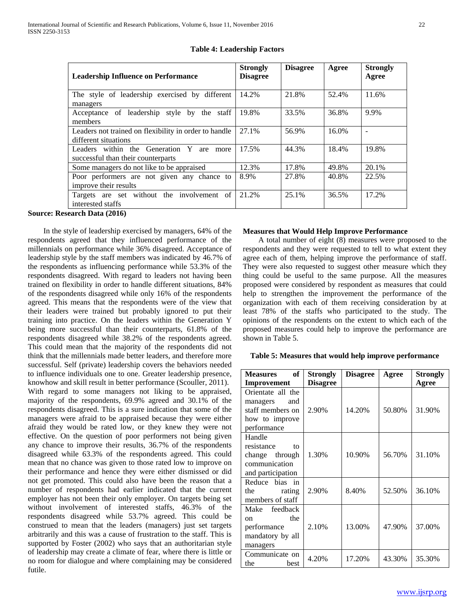| <b>Leadership Influence on Performance</b>                                           | <b>Strongly</b><br><b>Disagree</b> | <b>Disagree</b> | Agree | <b>Strongly</b><br>Agree |
|--------------------------------------------------------------------------------------|------------------------------------|-----------------|-------|--------------------------|
| The style of leadership exercised by different<br>managers                           | 14.2%                              | 21.8%           | 52.4% | 11.6%                    |
| Acceptance of leadership style by the staff<br>members                               | 19.8%                              | 33.5%           | 36.8% | 9.9%                     |
| Leaders not trained on flexibility in order to handle<br>different situations        | 27.1%                              | 56.9%           | 16.0% | $\overline{\phantom{a}}$ |
| Leaders within the Generation Y<br>are<br>more<br>successful than their counterparts | 17.5%                              | 44.3%           | 18.4% | 19.8%                    |
| Some managers do not like to be appraised                                            | 12.3%                              | 17.8%           | 49.8% | 20.1%                    |
| Poor performers are not given any chance to<br>improve their results                 | 8.9%                               | 27.8%           | 40.8% | 22.5%                    |
| Targets are set without the involvement of<br>interested staffs                      | 21.2%                              | 25.1%           | 36.5% | 17.2%                    |

# **Table 4: Leadership Factors**

**Source: Research Data (2016)** 

 In the style of leadership exercised by managers, 64% of the respondents agreed that they influenced performance of the millennials on performance while 36% disagreed. Acceptance of leadership style by the staff members was indicated by 46.7% of the respondents as influencing performance while 53.3% of the respondents disagreed. With regard to leaders not having been trained on flexibility in order to handle different situations, 84% of the respondents disagreed while only 16% of the respondents agreed. This means that the respondents were of the view that their leaders were trained but probably ignored to put their training into practice. On the leaders within the Generation Y being more successful than their counterparts, 61.8% of the respondents disagreed while 38.2% of the respondents agreed. This could mean that the majority of the respondents did not think that the millennials made better leaders, and therefore more successful. Self (private) leadership covers the behaviors needed to influence individuals one to one. Greater leadership presence, knowhow and skill result in better performance (Scouller, 2011). With regard to some managers not liking to be appraised, majority of the respondents, 69.9% agreed and 30.1% of the respondents disagreed. This is a sure indication that some of the managers were afraid to be appraised because they were either afraid they would be rated low, or they knew they were not effective. On the question of poor performers not being given any chance to improve their results, 36.7% of the respondents disagreed while 63.3% of the respondents agreed. This could mean that no chance was given to those rated low to improve on their performance and hence they were either dismissed or did not get promoted. This could also have been the reason that a number of respondents had earlier indicated that the current employer has not been their only employer. On targets being set without involvement of interested staffs, 46.3% of the respondents disagreed while 53.7% agreed. This could be construed to mean that the leaders (managers) just set targets arbitrarily and this was a cause of frustration to the staff. This is supported by Foster (2002) who says that an authoritarian style of leadership may create a climate of fear, where there is little or no room for dialogue and where complaining may be considered futile.

# **Measures that Would Help Improve Performance**

 A total number of eight (8) measures were proposed to the respondents and they were requested to tell to what extent they agree each of them, helping improve the performance of staff. They were also requested to suggest other measure which they thing could be useful to the same purpose. All the measures proposed were considered by respondent as measures that could help to strengthen the improvement the performance of the organization with each of them receiving consideration by at least 78% of the staffs who participated to the study. The opinions of the respondents on the extent to which each of the proposed measures could help to improve the performance are shown in Table 5.

### **Table 5: Measures that would help improve performance**

| of<br><b>Measures</b> | Strongly        | <b>Disagree</b> | Agree  | <b>Strongly</b> |
|-----------------------|-----------------|-----------------|--------|-----------------|
| Improvement           | <b>Disagree</b> |                 |        | Agree           |
| Orientate all the     |                 |                 |        |                 |
| managers<br>and       |                 |                 |        |                 |
| staff members on      | 2.90%           | 14.20%          | 50.80% | 31.90%          |
| how to improve        |                 |                 |        |                 |
| performance           |                 |                 |        |                 |
| Handle                |                 |                 |        |                 |
| resistance<br>tο      |                 |                 |        |                 |
| change through        | 1.30%           | 10.90%          | 56.70% | 31.10%          |
| communication         |                 |                 |        |                 |
| and participation     |                 |                 |        |                 |
| Reduce bias in        |                 |                 |        |                 |
| the<br>rating         | 2.90%           | 8.40%           | 52.50% | 36.10%          |
| members of staff      |                 |                 |        |                 |
| Make feedback         |                 |                 |        |                 |
| the<br>on             |                 |                 |        |                 |
| performance           | 2.10%           | 13.00%          | 47.90% | 37.00%          |
| mandatory by all      |                 |                 |        |                 |
| managers              |                 |                 |        |                 |
| Communicate on        | 4.20%           | 17.20%          | 43.30% | 35.30%          |
| the<br>hest           |                 |                 |        |                 |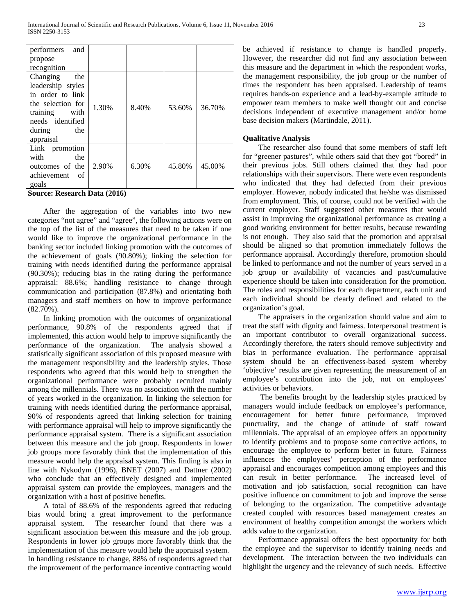| performers<br>and |       |       |        |        |
|-------------------|-------|-------|--------|--------|
| propose           |       |       |        |        |
| recognition       |       |       |        |        |
| Changing<br>the   |       |       |        |        |
| leadership styles |       |       |        |        |
| in order to link  |       |       |        |        |
| the selection for | 1.30% | 8.40% | 53.60% | 36.70% |
| training with     |       |       |        |        |
| needs identified  |       |       |        |        |
| the<br>during     |       |       |        |        |
| appraisal         |       |       |        |        |
| Link promotion    |       |       |        |        |
| with<br>the       |       |       |        |        |
| outcomes of the   | 2.90% | 6.30% | 45.80% | 45.00% |
| achievement of    |       |       |        |        |
| goals             |       |       |        |        |

**Source: Research Data (2016)** 

 After the aggregation of the variables into two new categories "not agree" and "agree", the following actions were on the top of the list of the measures that need to be taken if one would like to improve the organizational performance in the banking sector included linking promotion with the outcomes of the achievement of goals (90.80%); linking the selection for training with needs identified during the performance appraisal (90.30%); reducing bias in the rating during the performance appraisal: 88.6%; handling resistance to change through communication and participation (87.8%) and orientating both managers and staff members on how to improve performance (82.70%).

 In linking promotion with the outcomes of organizational performance, 90.8% of the respondents agreed that if implemented, this action would help to improve significantly the performance of the organization. The analysis showed a statistically significant association of this proposed measure with the management responsibility and the leadership styles. Those respondents who agreed that this would help to strengthen the organizational performance were probably recruited mainly among the millennials. There was no association with the number of years worked in the organization. In linking the selection for training with needs identified during the performance appraisal, 90% of respondents agreed that linking selection for training with performance appraisal will help to improve significantly the performance appraisal system. There is a significant association between this measure and the job group. Respondents in lower job groups more favorably think that the implementation of this measure would help the appraisal system. This finding is also in line with Nykodym (1996), BNET (2007) and Dattner (2002) who conclude that an effectively designed and implemented appraisal system can provide the employees, managers and the organization with a host of positive benefits.

 A total of 88.6% of the respondents agreed that reducing bias would bring a great improvement to the performance appraisal system. The researcher found that there was a significant association between this measure and the job group. Respondents in lower job groups more favorably think that the implementation of this measure would help the appraisal system. In handling resistance to change, 88% of respondents agreed that the improvement of the performance incentive contracting would be achieved if resistance to change is handled properly. However, the researcher did not find any association between this measure and the department in which the respondent works, the management responsibility, the job group or the number of times the respondent has been appraised. Leadership of teams requires hands-on experience and a lead-by-example attitude to empower team members to make well thought out and concise decisions independent of executive management and/or home base decision makers (Martindale, 2011).

# **Qualitative Analysis**

 The researcher also found that some members of staff left for "greener pastures", while others said that they got "bored" in their previous jobs. Still others claimed that they had poor relationships with their supervisors. There were even respondents who indicated that they had defected from their previous employer. However, nobody indicated that he/she was dismissed from employment. This, of course, could not be verified with the current employer. Staff suggested other measures that would assist in improving the organizational performance as creating a good working environment for better results, because rewarding is not enough. They also said that the promotion and appraisal should be aligned so that promotion immediately follows the performance appraisal. Accordingly therefore, promotion should be linked to performance and not the number of years served in a job group or availability of vacancies and past/cumulative experience should be taken into consideration for the promotion. The roles and responsibilities for each department, each unit and each individual should be clearly defined and related to the organization's goal.

 The appraisers in the organization should value and aim to treat the staff with dignity and fairness. Interpersonal treatment is an important contributor to overall organizational success. Accordingly therefore, the raters should remove subjectivity and bias in performance evaluation. The performance appraisal system should be an effectiveness-based system whereby 'objective' results are given representing the measurement of an employee's contribution into the job, not on employees' activities or behaviors.

 The benefits brought by the leadership styles practiced by managers would include feedback on employee's performance, encouragement for better future performance, improved punctuality, and the change of attitude of staff toward millennials. The appraisal of an employee offers an opportunity to identify problems and to propose some corrective actions, to encourage the employee to perform better in future. Fairness influences the employees' perception of the performance appraisal and encourages competition among employees and this can result in better performance. The increased level of motivation and job satisfaction, social recognition can have positive influence on commitment to job and improve the sense of belonging to the organization. The competitive advantage created coupled with resources based management creates an environment of healthy competition amongst the workers which adds value to the organization.

 Performance appraisal offers the best opportunity for both the employee and the supervisor to identify training needs and development. The interaction between the two individuals can highlight the urgency and the relevancy of such needs. Effective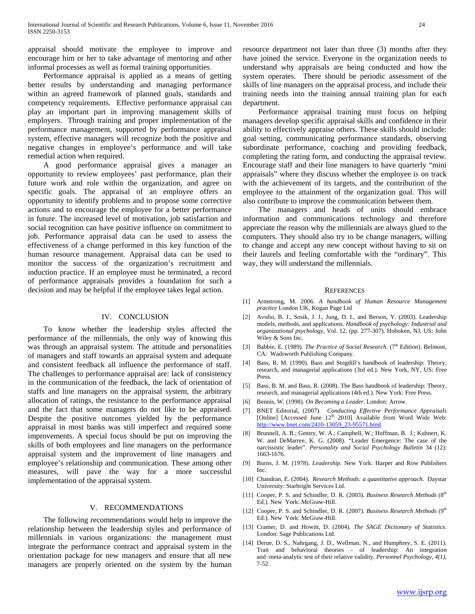appraisal should motivate the employee to improve and encourage him or her to take advantage of mentoring and other informal processes as well as formal training opportunities.

 Performance appraisal is applied as a means of getting better results by understanding and managing performance within an agreed framework of planned goals, standards and competency requirements. Effective performance appraisal can play an important part in improving management skills of employers. Through training and proper implementation of the performance management, supported by performance appraisal system, effective managers will recognize both the positive and negative changes in employee's performance and will take remedial action when required.

 A good performance appraisal gives a manager an opportunity to review employees' past performance, plan their future work and role within the organization, and agree on specific goals. The appraisal of an employee offers an opportunity to identify problems and to propose some corrective actions and to encourage the employee for a better performance in future. The increased level of motivation, job satisfaction and social recognition can have positive influence on commitment to job. Performance appraisal data can be used to assess the effectiveness of a change performed in this key function of the human resource management. Appraisal data can be used to monitor the success of the organization's recruitment and induction practice. If an employee must be terminated, a record of performance appraisals provides a foundation for such a decision and may be helpful if the employee takes legal action.

#### IV. CONCLUSION

 To know whether the leadership styles affected the performance of the millennials, the only way of knowing this was through an appraisal system. The attitude and personalities of managers and staff towards an appraisal system and adequate and consistent feedback all influence the performance of staff. The challenges to performance appraisal are: lack of consistency in the communication of the feedback, the lack of orientation of staffs and line managers on the appraisal system, the arbitrary allocation of ratings, the resistance to the performance appraisal and the fact that some managers do not like to be appraised. Despite the positive outcomes yielded by the performance appraisal in most banks was still imperfect and required some improvements. A special focus should be put on improving the skills of both employees and line managers on the performance appraisal system and the improvement of line managers and employee's relationship and communication. These among other measures, will pave the way for a more successful implementation of the appraisal system.

# V. RECOMMENDATIONS

 The following recommendations would help to improve the relationship between the leadership styles and performance of millennials in various organizations: the management must integrate the performance contract and appraisal system in the orientation package for new managers and ensure that all new managers are properly oriented on the system by the human resource department not later than three (3) months after they have joined the service. Everyone in the organization needs to understand why appraisals are being conducted and how the system operates. There should be periodic assessment of the skills of line managers on the appraisal process, and include their training needs into the training annual training plan for each department.

 Performance appraisal training must focus on helping managers develop specific appraisal skills and confidence in their ability to effectively appraise others. These skills should include: goal setting, communicating performance standards, observing subordinate performance, coaching and providing feedback, completing the rating form, and conducting the appraisal review. Encourage staff and their line managers to have quarterly "mini appraisals" where they discuss whether the employee is on track with the achievement of its targets, and the contribution of the employee to the attainment of the organization goal. This will also contribute to improve the communication between them.

 The managers and heads of units should embrace information and communications technology and therefore appreciate the reason why the millennials are always glued to the computers. They should also try to be change managers, willing to change and accept any new concept without having to sit on their laurels and feeling comfortable with the "ordinary". This way, they will understand the millennials.

#### **REFERENCES**

- [1] Armstrong, M. 2006. *A handbook of Human Resource Management practice* London UK, Kogan Page Ltd
- [2] Avolio, B. J., Sosik, J. J., Jung, D. I., and Berson, Y. (2003). Leadership models, methods, and applications. *Handbook of psychology: Industrial and organizational psychology,* Vol. 12. (pp. 277-307). Hoboken, NJ, US: John Wiley & Sons Inc.
- [3] Babbie, E. (1989). *The Practice of Social Research*. (7<sup>th</sup> Edition). Belmont, CA: Wadsworth Publishing Company.
- [4] Bass, B. M. (1990). Bass and Stogdill's handbook of leadership: Theory, research, and managerial applications (3rd ed.). New York, NY, US: Free Press.
- [5] Bass, B. M. and Bass, R. (2008). The Bass handbook of leadership: Theory, research, and managerial applications (4th ed.). New York: Free Press.
- [6] Bennis, W. (1998). *On Becoming a Leader.* London: Arrow.
- [7] BNET Editorial, (2007). *Conducting Effective Performance Appraisals* [Online] [Accessed June 12<sup>th</sup> 2010] Available from Word Wide Web: [http://www.bnet.com/2410-13059\\_23-95571.html](http://www.bnet.com/2410-13059_23-95571.html)
- [8] Brunnell, A. B.; Gentry, W. A.; Campbell, W.; Hoffman, B. J.; Kuhnert, K. W. and DeMarree, K. G. (2008). "Leader Emergence: The case of the narcissistic leader". *Personality and Social Psychology Bulletin* 34 (12): 1663-1676.
- [9] Burns, J. M. (1978). *Leadership*. New York: Harper and Row Publishers Inc.
- [10] Chandran, E. (2004). *Research Methods: a quantitative approach*. Daystar University: Starbright Services Ltd.
- [11] Cooper, P. S. and Schindler, D. R. (2003). *Business Research Methods* (8<sup>th</sup> Ed.). New York: McGraw-Hill.
- [12] Cooper, P. S. and Schindler, D. R. (2007). *Business Research Methods* (9<sup>th</sup> Ed.). New York: McGraw-Hill.
- [13] Cramer, D. and Howitt, D. (2004). *The SAGE Dictionary of Statistics*. London: Sage Publications Ltd.
- [14] Derue, D. S., Nahrgang, J. D., Wellman, N., and Humphrey, S. E. (2011). Trait and behavioral theories - of leadership: An integration and :meta‐analytic test of their relative validity. *Personnel Psychology, 4(1)*, 7-52.